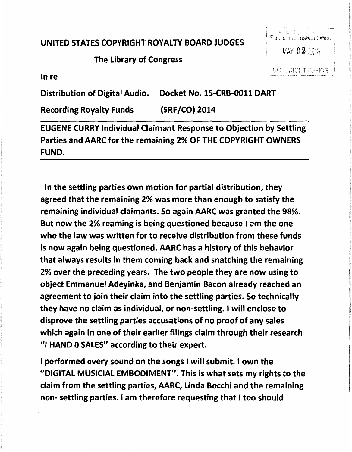UNITED STATES COPYRIGHT ROYALTY BOARD JUDGES

## The Library of Congress

باری اور اور اور اور بارد.<br>Public Inicrmation Office MAY 02 2016 COPYRIGHT OFFICE

In re

Distribution of Digital Audio. Docket No. 15-CRB-0011 DART

Recording Royalty Funds (SRF/CO) 2014

EUGENE CURRY Individual Claimant Response to Objection by Settling Parties and AARC for the remaining 2% OF THE COPYRIGHT OWNERS FUND.

In the settling parties own motion for partial distribution, they agreed that the remaining 2% was more than enough to satisfy the remaining individual claimants. So again AARC was granted the 98%. But now the 2% reaming is being questioned because I am the one who the law was written for to receive distribution from these funds is now again being questioned. AARC has a history of this behavior that always results in them coming back and snatching the remaining 2% over the preceding years. The two people they are now using to object Emmanuel Adeyinka, and Benjamin Bacon already reached an agreement to join their claim into the settling parties. So technically they have no claim as individual, or non-settling. I will enclose to disprove the settling parties accusations of no proof of any sales which again in one of their earlier filings claim through their research "I HAND 0 SALES" according to their expert.

I performed every sound on the songs I will submit. I own the "DIGITAL MUSICIAL EMBODIMENT". This is what sets my rights to the claim from the settling parties, AARC, Linda Bocchi and the remaining non- settling parties. I am therefore requesting that I too should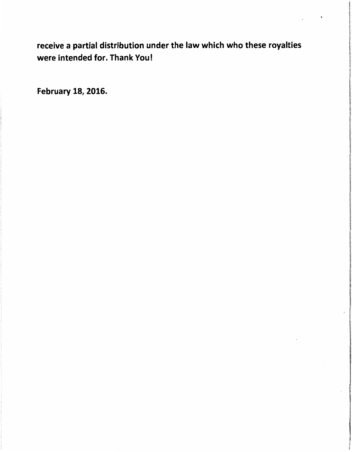receive a partial distribution under the law which who these royalties were intended for. Thank You!

February 18, 2016.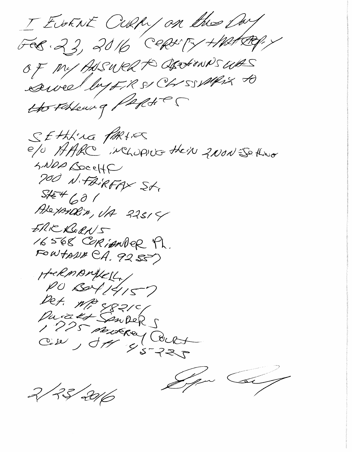I EVENT CURRY on the Owy FOS. 23, 2016 CERNTY HATRY.Y OF MY AUSURR to OperHOWNS WAS Awel by FR & Chr SSWALL A the February Paptier SETTING PARTIES e/o AARC NCLUPIUS their 2NON ES thro SNDA BoceHF 700 N.FAIRFAX St.  $5454601$ Alexander, UA 22514 ERIC RORNS 16568 CORIANDER 4h. FOWTAND CA. 9255) HERMANIKELL, PO BOY 14157 Det. MP 4821c/ Durated Sempers Maria Stranger Court Spa Co 2/23/2016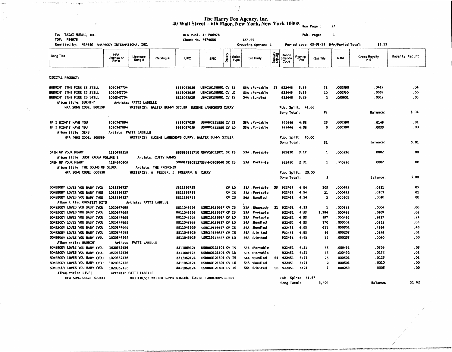The Harry Fox Agency, Inc.<br>40 Wall Street – 6th Floor, New York, New York 10005  $_{\text{Run Page :}}$  23

 $\cdot$  )

'f

 $\cdot$ 

ð,

 $\sim 10^{-10}$  km  $^{-1}$ 

| Remitted by: M14910 RHAPSODY INTERNATIONAL INC.<br>Grouping Option: 1<br>Period code: 03-03-15 Mfr/Period Total:<br><b>Service</b><br>Offering<br><b>HFA</b><br>Config<br>Recon<br>Song Title<br>Playing<br>Royalty Amount<br>Licensee<br>Gross Royalty<br><b>Sales</b><br>License or<br>Rate<br>Catalog #<br><b>UPC</b><br><b>ISRC</b><br>3rd Party<br>ciliation<br>Quantity<br>Song #<br>Type<br>Time<br>in \$<br>Ref#<br>Code<br>DIGITAL PRODUCT:<br>.04<br>BURNIN' (THE FIRE IS STILL<br>1020347704<br>8811043926<br><b>USMC19136661 CV IS</b><br>71<br>.000590<br>. 0419<br>S3A : Portable<br>S3<br>922448<br>5:29<br>10<br>.000590<br>. 0059<br>. 00<br>BURNIN' (THE FIRE IS STILL<br>1020347704<br>8811043926<br>USMC19136661 CV LD<br>S3A :Portable<br>922448<br>5:29<br>.0012<br>. 00<br>BURNIN' (THE FIRE IS STILL<br>1020347704<br>USMC19136661 CV IS<br>S4A : Bundled<br>5:29<br>$\overline{\mathbf{z}}$<br>.000601<br>8811043926<br>922448<br>Album title: BURNIN'<br>Artists: PATTI LABELLE<br>HFA SONG CODE: BOO158<br>WRITER(S): WALTER BUNNY SIGLER, EUGENE LAMBCHOPS CURRY<br>Pub. Sp11t: 41.66<br>\$.04<br>Song Total:<br>83<br>Balance:<br>.000590<br>.01<br>IF I DIDN'T HAVE YOU<br>1020347894<br>8811087029<br><b>USINNWO121880 CV IS</b><br>S3A : Portable<br>922449<br>4:58<br>25<br>.0148<br>.00<br>.000590<br>.0035<br>IF I DIDN'T HAVE YOU<br>1020347894<br>8811087029<br><b>USWWW0121880 CV LD</b><br>S3A :Portable<br>922449<br>4:58<br>6<br>Album title: GEMS<br>Artists: PATTI LABELLE<br>HFA SONG CODE: I08389<br>WRITER(S): EUGENE LAMBCHOPS CURRY, WALTER BUNNY SIGLER<br>Pub. Sp11t: 50.00<br>31<br>Balance:<br>5.01<br>Song Total:<br>.00<br>OPEN UP YOUR HEART<br>1130439219<br>885686351710 GBVVQ1022871 SR IS<br>S3A :Portable<br>922450<br>3:17<br>000236<br>. 0002<br>1<br>Album title: JUST RAGGA VOLUME 1<br>Artists: CUTTY RANKS<br>000236<br>.0002<br>.00<br>OPEN UP YOUR HEART<br>1164940500<br>922450<br>2:31<br>1<br>5060176801127GBVNN0808040 SR IS<br>S3A :Portable<br>Artists: THE PROFONIX<br>Album title: THE SOUND OF SIDRA<br>HFA SONG CODE: 000558<br>WRITER(S): A. FELDER, J. FREEMAN, E. CURRY<br>Pub. Split: 20.00<br>\$.00<br>$\overline{\mathbf{z}}$<br>Balance:<br>Song Total:<br>.000492<br>. 0531<br>. 05<br>SOMEBODY LOVES YOU BABY (YOU<br>1011254527<br>8811156725<br>CV LD<br>S3A :Portable<br>S3<br>922451<br>4:54<br>108<br>.01<br>SOMEBODY LOVES YOU BABY (YOU<br>1011254527<br>8811156725<br>CV IS<br>S3A : Portable<br>922451<br>4:54<br>21<br>.000492<br>. 0103<br>$\overline{\mathbf{z}}$<br>.000501<br>. 0010<br>. 00<br>SOMEBODY LOVES YOU BABY (YOU<br>1011254527<br>8811156725<br>$\alpha$ is<br>S4A :Bundled<br>922451<br>4:54<br>Artists: PATTI LABELLE<br>Album title: GREATEST HITS<br>.000823<br>.0008<br>.00<br>1020347699<br>USMC19136657 CV IS<br>922451<br>4:53<br>1<br>SOMEBODY LOVES YOU BABY (YOU<br>8811043926<br>S1<br>S1A : Rhapsody<br>. 68<br>4:53<br>1,384<br>.000492<br>.6809<br>SOMEBODY LOVES YOU BABY (YOU<br>1020347699<br>8811043926<br>USMC19136657 CV IS<br>S3A :Portable<br>922451<br>. 29<br>USMC19136657 CV LD<br>922451<br>4:53<br>597<br>.000492<br>. 2937<br>SOMEBODY LOVES YOU BABY (YOU<br>1020347699<br>8811043926<br>S3A :Portable<br>.000501<br>.0852<br>.08<br>SOMEBODY LOVES YOU BABY (YOU<br>1020347699<br>8811043926<br>USMC19136657 CV LD<br>S4A : Bundled<br>922451<br>4:53<br>170<br>922451<br>4:53<br>.000501<br>.4564<br>. 45<br>SOMEBODY LOVES YOU BABY (YOU<br>1020347699<br>8811043926<br>USMC19136657 CV IS<br>S4A : Bundled<br>911<br>.01<br>SOMEBODY LOVES YOU BABY (YOU<br>1020347699<br>8811043926<br>USAC19136657 CV IS<br>S6A : Limited<br>922451<br>4:53<br>59<br>.000253<br>.0149<br>.000253<br>.0030<br>.00<br>SOMEBODY LOVES YOU BABY (YOU<br>1020347699<br>8811043926<br><b>USMC19136657 CV LD</b><br>922451<br>4:53<br>12<br>S6A : Limited<br>Album title: BURNIN'<br>Artists: PATTI LABELLE<br>.0369<br>.000492<br>. 03<br>SOMEBODY LOVES YOU BABY (YOU<br>1020352436<br>8811069124<br>USWWW0121801 CV IS<br>922451<br>4:21<br>75<br>S3A :Portable<br>.000492<br>. 0172<br>. 01<br>SOMEBODY LOVES YOU BABY (YOU<br>1020352436<br>922451<br>4:21<br>35<br>8811069124<br>USWWW0121801 CV LD<br>S3A :Portable<br>. 000501<br>. 0125<br>. 01<br>1020352436<br>USWWW0121801 CV IS<br>S4A : Bundled<br>S4 922451<br>4:21<br>25<br>SOMEBODY LOVES YOU BABY (YOU<br>8811069124<br>.00<br>1020352436<br>4:21<br>$\overline{\mathbf{z}}$<br>.000501<br>. 0010<br>SOMEBODY LOVES YOU BABY (YOU<br>8811069124<br><b>USWINNO121801 CV LD</b><br>S4A : Bundled<br>922451<br>. 0005<br>.00<br>SOMEBODY LOVES YOU BABY (YOU<br>1020352436<br>USWWW0121801 CV IS<br>S6 922451<br>4:21<br>$\mathbf{z}$<br>.000253<br>8811069124<br>S6A : Limited<br>Album title: LIVE!<br>Artists: PATTI LABELLE<br>HFA SONG CODE: SO0441<br>WRITER(S): WALTER BUNNY SIGLER, EUGENE LAMBCHOPS CURRY<br>Pub. Split: 41.67<br>\$1.62<br>3,404<br>Balance:<br>Song Total: | To: TAJAI MUSIC, INC.<br>TOP: P86978 |  |  | HFA Publ. #: P86978<br>Check No. 7474006 |  | \$65.55 |  |  | Pub. Page: | $\mathbf{1}$ |        |  |
|------------------------------------------------------------------------------------------------------------------------------------------------------------------------------------------------------------------------------------------------------------------------------------------------------------------------------------------------------------------------------------------------------------------------------------------------------------------------------------------------------------------------------------------------------------------------------------------------------------------------------------------------------------------------------------------------------------------------------------------------------------------------------------------------------------------------------------------------------------------------------------------------------------------------------------------------------------------------------------------------------------------------------------------------------------------------------------------------------------------------------------------------------------------------------------------------------------------------------------------------------------------------------------------------------------------------------------------------------------------------------------------------------------------------------------------------------------------------------------------------------------------------------------------------------------------------------------------------------------------------------------------------------------------------------------------------------------------------------------------------------------------------------------------------------------------------------------------------------------------------------------------------------------------------------------------------------------------------------------------------------------------------------------------------------------------------------------------------------------------------------------------------------------------------------------------------------------------------------------------------------------------------------------------------------------------------------------------------------------------------------------------------------------------------------------------------------------------------------------------------------------------------------------------------------------------------------------------------------------------------------------------------------------------------------------------------------------------------------------------------------------------------------------------------------------------------------------------------------------------------------------------------------------------------------------------------------------------------------------------------------------------------------------------------------------------------------------------------------------------------------------------------------------------------------------------------------------------------------------------------------------------------------------------------------------------------------------------------------------------------------------------------------------------------------------------------------------------------------------------------------------------------------------------------------------------------------------------------------------------------------------------------------------------------------------------------------------------------------------------------------------------------------------------------------------------------------------------------------------------------------------------------------------------------------------------------------------------------------------------------------------------------------------------------------------------------------------------------------------------------------------------------------------------------------------------------------------------------------------------------------------------------------------------------------------------------------------------------------------------------------------------------------------------------------------------------------------------------------------------------------------------------------------------------------------------------------------------------------------------------------------------------------------------------------------------------------------------------------------------------------------------------------------------------------------------------------------------------------------------------------------------------------------------------------------------------------------------------------------|--------------------------------------|--|--|------------------------------------------|--|---------|--|--|------------|--------------|--------|--|
|                                                                                                                                                                                                                                                                                                                                                                                                                                                                                                                                                                                                                                                                                                                                                                                                                                                                                                                                                                                                                                                                                                                                                                                                                                                                                                                                                                                                                                                                                                                                                                                                                                                                                                                                                                                                                                                                                                                                                                                                                                                                                                                                                                                                                                                                                                                                                                                                                                                                                                                                                                                                                                                                                                                                                                                                                                                                                                                                                                                                                                                                                                                                                                                                                                                                                                                                                                                                                                                                                                                                                                                                                                                                                                                                                                                                                                                                                                                                                                                                                                                                                                                                                                                                                                                                                                                                                                                                                                                                                                                                                                                                                                                                                                                                                                                                                                                                                                                                                                                    |                                      |  |  |                                          |  |         |  |  |            |              | \$5.13 |  |
|                                                                                                                                                                                                                                                                                                                                                                                                                                                                                                                                                                                                                                                                                                                                                                                                                                                                                                                                                                                                                                                                                                                                                                                                                                                                                                                                                                                                                                                                                                                                                                                                                                                                                                                                                                                                                                                                                                                                                                                                                                                                                                                                                                                                                                                                                                                                                                                                                                                                                                                                                                                                                                                                                                                                                                                                                                                                                                                                                                                                                                                                                                                                                                                                                                                                                                                                                                                                                                                                                                                                                                                                                                                                                                                                                                                                                                                                                                                                                                                                                                                                                                                                                                                                                                                                                                                                                                                                                                                                                                                                                                                                                                                                                                                                                                                                                                                                                                                                                                                    |                                      |  |  |                                          |  |         |  |  |            |              |        |  |
|                                                                                                                                                                                                                                                                                                                                                                                                                                                                                                                                                                                                                                                                                                                                                                                                                                                                                                                                                                                                                                                                                                                                                                                                                                                                                                                                                                                                                                                                                                                                                                                                                                                                                                                                                                                                                                                                                                                                                                                                                                                                                                                                                                                                                                                                                                                                                                                                                                                                                                                                                                                                                                                                                                                                                                                                                                                                                                                                                                                                                                                                                                                                                                                                                                                                                                                                                                                                                                                                                                                                                                                                                                                                                                                                                                                                                                                                                                                                                                                                                                                                                                                                                                                                                                                                                                                                                                                                                                                                                                                                                                                                                                                                                                                                                                                                                                                                                                                                                                                    |                                      |  |  |                                          |  |         |  |  |            |              |        |  |
|                                                                                                                                                                                                                                                                                                                                                                                                                                                                                                                                                                                                                                                                                                                                                                                                                                                                                                                                                                                                                                                                                                                                                                                                                                                                                                                                                                                                                                                                                                                                                                                                                                                                                                                                                                                                                                                                                                                                                                                                                                                                                                                                                                                                                                                                                                                                                                                                                                                                                                                                                                                                                                                                                                                                                                                                                                                                                                                                                                                                                                                                                                                                                                                                                                                                                                                                                                                                                                                                                                                                                                                                                                                                                                                                                                                                                                                                                                                                                                                                                                                                                                                                                                                                                                                                                                                                                                                                                                                                                                                                                                                                                                                                                                                                                                                                                                                                                                                                                                                    |                                      |  |  |                                          |  |         |  |  |            |              |        |  |
|                                                                                                                                                                                                                                                                                                                                                                                                                                                                                                                                                                                                                                                                                                                                                                                                                                                                                                                                                                                                                                                                                                                                                                                                                                                                                                                                                                                                                                                                                                                                                                                                                                                                                                                                                                                                                                                                                                                                                                                                                                                                                                                                                                                                                                                                                                                                                                                                                                                                                                                                                                                                                                                                                                                                                                                                                                                                                                                                                                                                                                                                                                                                                                                                                                                                                                                                                                                                                                                                                                                                                                                                                                                                                                                                                                                                                                                                                                                                                                                                                                                                                                                                                                                                                                                                                                                                                                                                                                                                                                                                                                                                                                                                                                                                                                                                                                                                                                                                                                                    |                                      |  |  |                                          |  |         |  |  |            |              |        |  |
|                                                                                                                                                                                                                                                                                                                                                                                                                                                                                                                                                                                                                                                                                                                                                                                                                                                                                                                                                                                                                                                                                                                                                                                                                                                                                                                                                                                                                                                                                                                                                                                                                                                                                                                                                                                                                                                                                                                                                                                                                                                                                                                                                                                                                                                                                                                                                                                                                                                                                                                                                                                                                                                                                                                                                                                                                                                                                                                                                                                                                                                                                                                                                                                                                                                                                                                                                                                                                                                                                                                                                                                                                                                                                                                                                                                                                                                                                                                                                                                                                                                                                                                                                                                                                                                                                                                                                                                                                                                                                                                                                                                                                                                                                                                                                                                                                                                                                                                                                                                    |                                      |  |  |                                          |  |         |  |  |            |              |        |  |
|                                                                                                                                                                                                                                                                                                                                                                                                                                                                                                                                                                                                                                                                                                                                                                                                                                                                                                                                                                                                                                                                                                                                                                                                                                                                                                                                                                                                                                                                                                                                                                                                                                                                                                                                                                                                                                                                                                                                                                                                                                                                                                                                                                                                                                                                                                                                                                                                                                                                                                                                                                                                                                                                                                                                                                                                                                                                                                                                                                                                                                                                                                                                                                                                                                                                                                                                                                                                                                                                                                                                                                                                                                                                                                                                                                                                                                                                                                                                                                                                                                                                                                                                                                                                                                                                                                                                                                                                                                                                                                                                                                                                                                                                                                                                                                                                                                                                                                                                                                                    |                                      |  |  |                                          |  |         |  |  |            |              |        |  |
|                                                                                                                                                                                                                                                                                                                                                                                                                                                                                                                                                                                                                                                                                                                                                                                                                                                                                                                                                                                                                                                                                                                                                                                                                                                                                                                                                                                                                                                                                                                                                                                                                                                                                                                                                                                                                                                                                                                                                                                                                                                                                                                                                                                                                                                                                                                                                                                                                                                                                                                                                                                                                                                                                                                                                                                                                                                                                                                                                                                                                                                                                                                                                                                                                                                                                                                                                                                                                                                                                                                                                                                                                                                                                                                                                                                                                                                                                                                                                                                                                                                                                                                                                                                                                                                                                                                                                                                                                                                                                                                                                                                                                                                                                                                                                                                                                                                                                                                                                                                    |                                      |  |  |                                          |  |         |  |  |            |              |        |  |
|                                                                                                                                                                                                                                                                                                                                                                                                                                                                                                                                                                                                                                                                                                                                                                                                                                                                                                                                                                                                                                                                                                                                                                                                                                                                                                                                                                                                                                                                                                                                                                                                                                                                                                                                                                                                                                                                                                                                                                                                                                                                                                                                                                                                                                                                                                                                                                                                                                                                                                                                                                                                                                                                                                                                                                                                                                                                                                                                                                                                                                                                                                                                                                                                                                                                                                                                                                                                                                                                                                                                                                                                                                                                                                                                                                                                                                                                                                                                                                                                                                                                                                                                                                                                                                                                                                                                                                                                                                                                                                                                                                                                                                                                                                                                                                                                                                                                                                                                                                                    |                                      |  |  |                                          |  |         |  |  |            |              |        |  |
|                                                                                                                                                                                                                                                                                                                                                                                                                                                                                                                                                                                                                                                                                                                                                                                                                                                                                                                                                                                                                                                                                                                                                                                                                                                                                                                                                                                                                                                                                                                                                                                                                                                                                                                                                                                                                                                                                                                                                                                                                                                                                                                                                                                                                                                                                                                                                                                                                                                                                                                                                                                                                                                                                                                                                                                                                                                                                                                                                                                                                                                                                                                                                                                                                                                                                                                                                                                                                                                                                                                                                                                                                                                                                                                                                                                                                                                                                                                                                                                                                                                                                                                                                                                                                                                                                                                                                                                                                                                                                                                                                                                                                                                                                                                                                                                                                                                                                                                                                                                    |                                      |  |  |                                          |  |         |  |  |            |              |        |  |
|                                                                                                                                                                                                                                                                                                                                                                                                                                                                                                                                                                                                                                                                                                                                                                                                                                                                                                                                                                                                                                                                                                                                                                                                                                                                                                                                                                                                                                                                                                                                                                                                                                                                                                                                                                                                                                                                                                                                                                                                                                                                                                                                                                                                                                                                                                                                                                                                                                                                                                                                                                                                                                                                                                                                                                                                                                                                                                                                                                                                                                                                                                                                                                                                                                                                                                                                                                                                                                                                                                                                                                                                                                                                                                                                                                                                                                                                                                                                                                                                                                                                                                                                                                                                                                                                                                                                                                                                                                                                                                                                                                                                                                                                                                                                                                                                                                                                                                                                                                                    |                                      |  |  |                                          |  |         |  |  |            |              |        |  |
|                                                                                                                                                                                                                                                                                                                                                                                                                                                                                                                                                                                                                                                                                                                                                                                                                                                                                                                                                                                                                                                                                                                                                                                                                                                                                                                                                                                                                                                                                                                                                                                                                                                                                                                                                                                                                                                                                                                                                                                                                                                                                                                                                                                                                                                                                                                                                                                                                                                                                                                                                                                                                                                                                                                                                                                                                                                                                                                                                                                                                                                                                                                                                                                                                                                                                                                                                                                                                                                                                                                                                                                                                                                                                                                                                                                                                                                                                                                                                                                                                                                                                                                                                                                                                                                                                                                                                                                                                                                                                                                                                                                                                                                                                                                                                                                                                                                                                                                                                                                    |                                      |  |  |                                          |  |         |  |  |            |              |        |  |
|                                                                                                                                                                                                                                                                                                                                                                                                                                                                                                                                                                                                                                                                                                                                                                                                                                                                                                                                                                                                                                                                                                                                                                                                                                                                                                                                                                                                                                                                                                                                                                                                                                                                                                                                                                                                                                                                                                                                                                                                                                                                                                                                                                                                                                                                                                                                                                                                                                                                                                                                                                                                                                                                                                                                                                                                                                                                                                                                                                                                                                                                                                                                                                                                                                                                                                                                                                                                                                                                                                                                                                                                                                                                                                                                                                                                                                                                                                                                                                                                                                                                                                                                                                                                                                                                                                                                                                                                                                                                                                                                                                                                                                                                                                                                                                                                                                                                                                                                                                                    |                                      |  |  |                                          |  |         |  |  |            |              |        |  |
|                                                                                                                                                                                                                                                                                                                                                                                                                                                                                                                                                                                                                                                                                                                                                                                                                                                                                                                                                                                                                                                                                                                                                                                                                                                                                                                                                                                                                                                                                                                                                                                                                                                                                                                                                                                                                                                                                                                                                                                                                                                                                                                                                                                                                                                                                                                                                                                                                                                                                                                                                                                                                                                                                                                                                                                                                                                                                                                                                                                                                                                                                                                                                                                                                                                                                                                                                                                                                                                                                                                                                                                                                                                                                                                                                                                                                                                                                                                                                                                                                                                                                                                                                                                                                                                                                                                                                                                                                                                                                                                                                                                                                                                                                                                                                                                                                                                                                                                                                                                    |                                      |  |  |                                          |  |         |  |  |            |              |        |  |
|                                                                                                                                                                                                                                                                                                                                                                                                                                                                                                                                                                                                                                                                                                                                                                                                                                                                                                                                                                                                                                                                                                                                                                                                                                                                                                                                                                                                                                                                                                                                                                                                                                                                                                                                                                                                                                                                                                                                                                                                                                                                                                                                                                                                                                                                                                                                                                                                                                                                                                                                                                                                                                                                                                                                                                                                                                                                                                                                                                                                                                                                                                                                                                                                                                                                                                                                                                                                                                                                                                                                                                                                                                                                                                                                                                                                                                                                                                                                                                                                                                                                                                                                                                                                                                                                                                                                                                                                                                                                                                                                                                                                                                                                                                                                                                                                                                                                                                                                                                                    |                                      |  |  |                                          |  |         |  |  |            |              |        |  |
|                                                                                                                                                                                                                                                                                                                                                                                                                                                                                                                                                                                                                                                                                                                                                                                                                                                                                                                                                                                                                                                                                                                                                                                                                                                                                                                                                                                                                                                                                                                                                                                                                                                                                                                                                                                                                                                                                                                                                                                                                                                                                                                                                                                                                                                                                                                                                                                                                                                                                                                                                                                                                                                                                                                                                                                                                                                                                                                                                                                                                                                                                                                                                                                                                                                                                                                                                                                                                                                                                                                                                                                                                                                                                                                                                                                                                                                                                                                                                                                                                                                                                                                                                                                                                                                                                                                                                                                                                                                                                                                                                                                                                                                                                                                                                                                                                                                                                                                                                                                    |                                      |  |  |                                          |  |         |  |  |            |              |        |  |
|                                                                                                                                                                                                                                                                                                                                                                                                                                                                                                                                                                                                                                                                                                                                                                                                                                                                                                                                                                                                                                                                                                                                                                                                                                                                                                                                                                                                                                                                                                                                                                                                                                                                                                                                                                                                                                                                                                                                                                                                                                                                                                                                                                                                                                                                                                                                                                                                                                                                                                                                                                                                                                                                                                                                                                                                                                                                                                                                                                                                                                                                                                                                                                                                                                                                                                                                                                                                                                                                                                                                                                                                                                                                                                                                                                                                                                                                                                                                                                                                                                                                                                                                                                                                                                                                                                                                                                                                                                                                                                                                                                                                                                                                                                                                                                                                                                                                                                                                                                                    |                                      |  |  |                                          |  |         |  |  |            |              |        |  |
|                                                                                                                                                                                                                                                                                                                                                                                                                                                                                                                                                                                                                                                                                                                                                                                                                                                                                                                                                                                                                                                                                                                                                                                                                                                                                                                                                                                                                                                                                                                                                                                                                                                                                                                                                                                                                                                                                                                                                                                                                                                                                                                                                                                                                                                                                                                                                                                                                                                                                                                                                                                                                                                                                                                                                                                                                                                                                                                                                                                                                                                                                                                                                                                                                                                                                                                                                                                                                                                                                                                                                                                                                                                                                                                                                                                                                                                                                                                                                                                                                                                                                                                                                                                                                                                                                                                                                                                                                                                                                                                                                                                                                                                                                                                                                                                                                                                                                                                                                                                    |                                      |  |  |                                          |  |         |  |  |            |              |        |  |
|                                                                                                                                                                                                                                                                                                                                                                                                                                                                                                                                                                                                                                                                                                                                                                                                                                                                                                                                                                                                                                                                                                                                                                                                                                                                                                                                                                                                                                                                                                                                                                                                                                                                                                                                                                                                                                                                                                                                                                                                                                                                                                                                                                                                                                                                                                                                                                                                                                                                                                                                                                                                                                                                                                                                                                                                                                                                                                                                                                                                                                                                                                                                                                                                                                                                                                                                                                                                                                                                                                                                                                                                                                                                                                                                                                                                                                                                                                                                                                                                                                                                                                                                                                                                                                                                                                                                                                                                                                                                                                                                                                                                                                                                                                                                                                                                                                                                                                                                                                                    |                                      |  |  |                                          |  |         |  |  |            |              |        |  |
|                                                                                                                                                                                                                                                                                                                                                                                                                                                                                                                                                                                                                                                                                                                                                                                                                                                                                                                                                                                                                                                                                                                                                                                                                                                                                                                                                                                                                                                                                                                                                                                                                                                                                                                                                                                                                                                                                                                                                                                                                                                                                                                                                                                                                                                                                                                                                                                                                                                                                                                                                                                                                                                                                                                                                                                                                                                                                                                                                                                                                                                                                                                                                                                                                                                                                                                                                                                                                                                                                                                                                                                                                                                                                                                                                                                                                                                                                                                                                                                                                                                                                                                                                                                                                                                                                                                                                                                                                                                                                                                                                                                                                                                                                                                                                                                                                                                                                                                                                                                    |                                      |  |  |                                          |  |         |  |  |            |              |        |  |
|                                                                                                                                                                                                                                                                                                                                                                                                                                                                                                                                                                                                                                                                                                                                                                                                                                                                                                                                                                                                                                                                                                                                                                                                                                                                                                                                                                                                                                                                                                                                                                                                                                                                                                                                                                                                                                                                                                                                                                                                                                                                                                                                                                                                                                                                                                                                                                                                                                                                                                                                                                                                                                                                                                                                                                                                                                                                                                                                                                                                                                                                                                                                                                                                                                                                                                                                                                                                                                                                                                                                                                                                                                                                                                                                                                                                                                                                                                                                                                                                                                                                                                                                                                                                                                                                                                                                                                                                                                                                                                                                                                                                                                                                                                                                                                                                                                                                                                                                                                                    |                                      |  |  |                                          |  |         |  |  |            |              |        |  |
|                                                                                                                                                                                                                                                                                                                                                                                                                                                                                                                                                                                                                                                                                                                                                                                                                                                                                                                                                                                                                                                                                                                                                                                                                                                                                                                                                                                                                                                                                                                                                                                                                                                                                                                                                                                                                                                                                                                                                                                                                                                                                                                                                                                                                                                                                                                                                                                                                                                                                                                                                                                                                                                                                                                                                                                                                                                                                                                                                                                                                                                                                                                                                                                                                                                                                                                                                                                                                                                                                                                                                                                                                                                                                                                                                                                                                                                                                                                                                                                                                                                                                                                                                                                                                                                                                                                                                                                                                                                                                                                                                                                                                                                                                                                                                                                                                                                                                                                                                                                    |                                      |  |  |                                          |  |         |  |  |            |              |        |  |
|                                                                                                                                                                                                                                                                                                                                                                                                                                                                                                                                                                                                                                                                                                                                                                                                                                                                                                                                                                                                                                                                                                                                                                                                                                                                                                                                                                                                                                                                                                                                                                                                                                                                                                                                                                                                                                                                                                                                                                                                                                                                                                                                                                                                                                                                                                                                                                                                                                                                                                                                                                                                                                                                                                                                                                                                                                                                                                                                                                                                                                                                                                                                                                                                                                                                                                                                                                                                                                                                                                                                                                                                                                                                                                                                                                                                                                                                                                                                                                                                                                                                                                                                                                                                                                                                                                                                                                                                                                                                                                                                                                                                                                                                                                                                                                                                                                                                                                                                                                                    |                                      |  |  |                                          |  |         |  |  |            |              |        |  |
|                                                                                                                                                                                                                                                                                                                                                                                                                                                                                                                                                                                                                                                                                                                                                                                                                                                                                                                                                                                                                                                                                                                                                                                                                                                                                                                                                                                                                                                                                                                                                                                                                                                                                                                                                                                                                                                                                                                                                                                                                                                                                                                                                                                                                                                                                                                                                                                                                                                                                                                                                                                                                                                                                                                                                                                                                                                                                                                                                                                                                                                                                                                                                                                                                                                                                                                                                                                                                                                                                                                                                                                                                                                                                                                                                                                                                                                                                                                                                                                                                                                                                                                                                                                                                                                                                                                                                                                                                                                                                                                                                                                                                                                                                                                                                                                                                                                                                                                                                                                    |                                      |  |  |                                          |  |         |  |  |            |              |        |  |
|                                                                                                                                                                                                                                                                                                                                                                                                                                                                                                                                                                                                                                                                                                                                                                                                                                                                                                                                                                                                                                                                                                                                                                                                                                                                                                                                                                                                                                                                                                                                                                                                                                                                                                                                                                                                                                                                                                                                                                                                                                                                                                                                                                                                                                                                                                                                                                                                                                                                                                                                                                                                                                                                                                                                                                                                                                                                                                                                                                                                                                                                                                                                                                                                                                                                                                                                                                                                                                                                                                                                                                                                                                                                                                                                                                                                                                                                                                                                                                                                                                                                                                                                                                                                                                                                                                                                                                                                                                                                                                                                                                                                                                                                                                                                                                                                                                                                                                                                                                                    |                                      |  |  |                                          |  |         |  |  |            |              |        |  |
|                                                                                                                                                                                                                                                                                                                                                                                                                                                                                                                                                                                                                                                                                                                                                                                                                                                                                                                                                                                                                                                                                                                                                                                                                                                                                                                                                                                                                                                                                                                                                                                                                                                                                                                                                                                                                                                                                                                                                                                                                                                                                                                                                                                                                                                                                                                                                                                                                                                                                                                                                                                                                                                                                                                                                                                                                                                                                                                                                                                                                                                                                                                                                                                                                                                                                                                                                                                                                                                                                                                                                                                                                                                                                                                                                                                                                                                                                                                                                                                                                                                                                                                                                                                                                                                                                                                                                                                                                                                                                                                                                                                                                                                                                                                                                                                                                                                                                                                                                                                    |                                      |  |  |                                          |  |         |  |  |            |              |        |  |
|                                                                                                                                                                                                                                                                                                                                                                                                                                                                                                                                                                                                                                                                                                                                                                                                                                                                                                                                                                                                                                                                                                                                                                                                                                                                                                                                                                                                                                                                                                                                                                                                                                                                                                                                                                                                                                                                                                                                                                                                                                                                                                                                                                                                                                                                                                                                                                                                                                                                                                                                                                                                                                                                                                                                                                                                                                                                                                                                                                                                                                                                                                                                                                                                                                                                                                                                                                                                                                                                                                                                                                                                                                                                                                                                                                                                                                                                                                                                                                                                                                                                                                                                                                                                                                                                                                                                                                                                                                                                                                                                                                                                                                                                                                                                                                                                                                                                                                                                                                                    |                                      |  |  |                                          |  |         |  |  |            |              |        |  |
|                                                                                                                                                                                                                                                                                                                                                                                                                                                                                                                                                                                                                                                                                                                                                                                                                                                                                                                                                                                                                                                                                                                                                                                                                                                                                                                                                                                                                                                                                                                                                                                                                                                                                                                                                                                                                                                                                                                                                                                                                                                                                                                                                                                                                                                                                                                                                                                                                                                                                                                                                                                                                                                                                                                                                                                                                                                                                                                                                                                                                                                                                                                                                                                                                                                                                                                                                                                                                                                                                                                                                                                                                                                                                                                                                                                                                                                                                                                                                                                                                                                                                                                                                                                                                                                                                                                                                                                                                                                                                                                                                                                                                                                                                                                                                                                                                                                                                                                                                                                    |                                      |  |  |                                          |  |         |  |  |            |              |        |  |
|                                                                                                                                                                                                                                                                                                                                                                                                                                                                                                                                                                                                                                                                                                                                                                                                                                                                                                                                                                                                                                                                                                                                                                                                                                                                                                                                                                                                                                                                                                                                                                                                                                                                                                                                                                                                                                                                                                                                                                                                                                                                                                                                                                                                                                                                                                                                                                                                                                                                                                                                                                                                                                                                                                                                                                                                                                                                                                                                                                                                                                                                                                                                                                                                                                                                                                                                                                                                                                                                                                                                                                                                                                                                                                                                                                                                                                                                                                                                                                                                                                                                                                                                                                                                                                                                                                                                                                                                                                                                                                                                                                                                                                                                                                                                                                                                                                                                                                                                                                                    |                                      |  |  |                                          |  |         |  |  |            |              |        |  |
|                                                                                                                                                                                                                                                                                                                                                                                                                                                                                                                                                                                                                                                                                                                                                                                                                                                                                                                                                                                                                                                                                                                                                                                                                                                                                                                                                                                                                                                                                                                                                                                                                                                                                                                                                                                                                                                                                                                                                                                                                                                                                                                                                                                                                                                                                                                                                                                                                                                                                                                                                                                                                                                                                                                                                                                                                                                                                                                                                                                                                                                                                                                                                                                                                                                                                                                                                                                                                                                                                                                                                                                                                                                                                                                                                                                                                                                                                                                                                                                                                                                                                                                                                                                                                                                                                                                                                                                                                                                                                                                                                                                                                                                                                                                                                                                                                                                                                                                                                                                    |                                      |  |  |                                          |  |         |  |  |            |              |        |  |
|                                                                                                                                                                                                                                                                                                                                                                                                                                                                                                                                                                                                                                                                                                                                                                                                                                                                                                                                                                                                                                                                                                                                                                                                                                                                                                                                                                                                                                                                                                                                                                                                                                                                                                                                                                                                                                                                                                                                                                                                                                                                                                                                                                                                                                                                                                                                                                                                                                                                                                                                                                                                                                                                                                                                                                                                                                                                                                                                                                                                                                                                                                                                                                                                                                                                                                                                                                                                                                                                                                                                                                                                                                                                                                                                                                                                                                                                                                                                                                                                                                                                                                                                                                                                                                                                                                                                                                                                                                                                                                                                                                                                                                                                                                                                                                                                                                                                                                                                                                                    |                                      |  |  |                                          |  |         |  |  |            |              |        |  |
|                                                                                                                                                                                                                                                                                                                                                                                                                                                                                                                                                                                                                                                                                                                                                                                                                                                                                                                                                                                                                                                                                                                                                                                                                                                                                                                                                                                                                                                                                                                                                                                                                                                                                                                                                                                                                                                                                                                                                                                                                                                                                                                                                                                                                                                                                                                                                                                                                                                                                                                                                                                                                                                                                                                                                                                                                                                                                                                                                                                                                                                                                                                                                                                                                                                                                                                                                                                                                                                                                                                                                                                                                                                                                                                                                                                                                                                                                                                                                                                                                                                                                                                                                                                                                                                                                                                                                                                                                                                                                                                                                                                                                                                                                                                                                                                                                                                                                                                                                                                    |                                      |  |  |                                          |  |         |  |  |            |              |        |  |
|                                                                                                                                                                                                                                                                                                                                                                                                                                                                                                                                                                                                                                                                                                                                                                                                                                                                                                                                                                                                                                                                                                                                                                                                                                                                                                                                                                                                                                                                                                                                                                                                                                                                                                                                                                                                                                                                                                                                                                                                                                                                                                                                                                                                                                                                                                                                                                                                                                                                                                                                                                                                                                                                                                                                                                                                                                                                                                                                                                                                                                                                                                                                                                                                                                                                                                                                                                                                                                                                                                                                                                                                                                                                                                                                                                                                                                                                                                                                                                                                                                                                                                                                                                                                                                                                                                                                                                                                                                                                                                                                                                                                                                                                                                                                                                                                                                                                                                                                                                                    |                                      |  |  |                                          |  |         |  |  |            |              |        |  |
|                                                                                                                                                                                                                                                                                                                                                                                                                                                                                                                                                                                                                                                                                                                                                                                                                                                                                                                                                                                                                                                                                                                                                                                                                                                                                                                                                                                                                                                                                                                                                                                                                                                                                                                                                                                                                                                                                                                                                                                                                                                                                                                                                                                                                                                                                                                                                                                                                                                                                                                                                                                                                                                                                                                                                                                                                                                                                                                                                                                                                                                                                                                                                                                                                                                                                                                                                                                                                                                                                                                                                                                                                                                                                                                                                                                                                                                                                                                                                                                                                                                                                                                                                                                                                                                                                                                                                                                                                                                                                                                                                                                                                                                                                                                                                                                                                                                                                                                                                                                    |                                      |  |  |                                          |  |         |  |  |            |              |        |  |
|                                                                                                                                                                                                                                                                                                                                                                                                                                                                                                                                                                                                                                                                                                                                                                                                                                                                                                                                                                                                                                                                                                                                                                                                                                                                                                                                                                                                                                                                                                                                                                                                                                                                                                                                                                                                                                                                                                                                                                                                                                                                                                                                                                                                                                                                                                                                                                                                                                                                                                                                                                                                                                                                                                                                                                                                                                                                                                                                                                                                                                                                                                                                                                                                                                                                                                                                                                                                                                                                                                                                                                                                                                                                                                                                                                                                                                                                                                                                                                                                                                                                                                                                                                                                                                                                                                                                                                                                                                                                                                                                                                                                                                                                                                                                                                                                                                                                                                                                                                                    |                                      |  |  |                                          |  |         |  |  |            |              |        |  |
|                                                                                                                                                                                                                                                                                                                                                                                                                                                                                                                                                                                                                                                                                                                                                                                                                                                                                                                                                                                                                                                                                                                                                                                                                                                                                                                                                                                                                                                                                                                                                                                                                                                                                                                                                                                                                                                                                                                                                                                                                                                                                                                                                                                                                                                                                                                                                                                                                                                                                                                                                                                                                                                                                                                                                                                                                                                                                                                                                                                                                                                                                                                                                                                                                                                                                                                                                                                                                                                                                                                                                                                                                                                                                                                                                                                                                                                                                                                                                                                                                                                                                                                                                                                                                                                                                                                                                                                                                                                                                                                                                                                                                                                                                                                                                                                                                                                                                                                                                                                    |                                      |  |  |                                          |  |         |  |  |            |              |        |  |
|                                                                                                                                                                                                                                                                                                                                                                                                                                                                                                                                                                                                                                                                                                                                                                                                                                                                                                                                                                                                                                                                                                                                                                                                                                                                                                                                                                                                                                                                                                                                                                                                                                                                                                                                                                                                                                                                                                                                                                                                                                                                                                                                                                                                                                                                                                                                                                                                                                                                                                                                                                                                                                                                                                                                                                                                                                                                                                                                                                                                                                                                                                                                                                                                                                                                                                                                                                                                                                                                                                                                                                                                                                                                                                                                                                                                                                                                                                                                                                                                                                                                                                                                                                                                                                                                                                                                                                                                                                                                                                                                                                                                                                                                                                                                                                                                                                                                                                                                                                                    |                                      |  |  |                                          |  |         |  |  |            |              |        |  |
|                                                                                                                                                                                                                                                                                                                                                                                                                                                                                                                                                                                                                                                                                                                                                                                                                                                                                                                                                                                                                                                                                                                                                                                                                                                                                                                                                                                                                                                                                                                                                                                                                                                                                                                                                                                                                                                                                                                                                                                                                                                                                                                                                                                                                                                                                                                                                                                                                                                                                                                                                                                                                                                                                                                                                                                                                                                                                                                                                                                                                                                                                                                                                                                                                                                                                                                                                                                                                                                                                                                                                                                                                                                                                                                                                                                                                                                                                                                                                                                                                                                                                                                                                                                                                                                                                                                                                                                                                                                                                                                                                                                                                                                                                                                                                                                                                                                                                                                                                                                    |                                      |  |  |                                          |  |         |  |  |            |              |        |  |
|                                                                                                                                                                                                                                                                                                                                                                                                                                                                                                                                                                                                                                                                                                                                                                                                                                                                                                                                                                                                                                                                                                                                                                                                                                                                                                                                                                                                                                                                                                                                                                                                                                                                                                                                                                                                                                                                                                                                                                                                                                                                                                                                                                                                                                                                                                                                                                                                                                                                                                                                                                                                                                                                                                                                                                                                                                                                                                                                                                                                                                                                                                                                                                                                                                                                                                                                                                                                                                                                                                                                                                                                                                                                                                                                                                                                                                                                                                                                                                                                                                                                                                                                                                                                                                                                                                                                                                                                                                                                                                                                                                                                                                                                                                                                                                                                                                                                                                                                                                                    |                                      |  |  |                                          |  |         |  |  |            |              |        |  |
|                                                                                                                                                                                                                                                                                                                                                                                                                                                                                                                                                                                                                                                                                                                                                                                                                                                                                                                                                                                                                                                                                                                                                                                                                                                                                                                                                                                                                                                                                                                                                                                                                                                                                                                                                                                                                                                                                                                                                                                                                                                                                                                                                                                                                                                                                                                                                                                                                                                                                                                                                                                                                                                                                                                                                                                                                                                                                                                                                                                                                                                                                                                                                                                                                                                                                                                                                                                                                                                                                                                                                                                                                                                                                                                                                                                                                                                                                                                                                                                                                                                                                                                                                                                                                                                                                                                                                                                                                                                                                                                                                                                                                                                                                                                                                                                                                                                                                                                                                                                    |                                      |  |  |                                          |  |         |  |  |            |              |        |  |
|                                                                                                                                                                                                                                                                                                                                                                                                                                                                                                                                                                                                                                                                                                                                                                                                                                                                                                                                                                                                                                                                                                                                                                                                                                                                                                                                                                                                                                                                                                                                                                                                                                                                                                                                                                                                                                                                                                                                                                                                                                                                                                                                                                                                                                                                                                                                                                                                                                                                                                                                                                                                                                                                                                                                                                                                                                                                                                                                                                                                                                                                                                                                                                                                                                                                                                                                                                                                                                                                                                                                                                                                                                                                                                                                                                                                                                                                                                                                                                                                                                                                                                                                                                                                                                                                                                                                                                                                                                                                                                                                                                                                                                                                                                                                                                                                                                                                                                                                                                                    |                                      |  |  |                                          |  |         |  |  |            |              |        |  |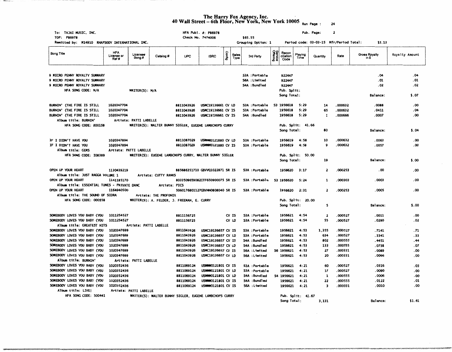## The Harry Fox Agency, Inc.<br>40 Wall Street – 6th Floor, New York, New York 10005 <sub>Run Page</sub> <sub>: 24</sub>

**COMMERCIAL COVER** 

a great condition.

| To: TAJAI MUSIC, INC.                                        |                                   |                        |                                                        |                          | HFA Publ. #: P86978                             |       |                      |         |                                |                            |                            |                   | Pub. Page:                              | 2                  |                       |                |
|--------------------------------------------------------------|-----------------------------------|------------------------|--------------------------------------------------------|--------------------------|-------------------------------------------------|-------|----------------------|---------|--------------------------------|----------------------------|----------------------------|-------------------|-----------------------------------------|--------------------|-----------------------|----------------|
| TOP: P86978                                                  |                                   |                        |                                                        |                          | Check No. 7474006                               |       |                      | \$65.55 |                                |                            |                            |                   |                                         |                    | \$5.13                |                |
| Remitted by: M14910 RHAPSODY INTERNATIONAL INC.              |                                   |                        |                                                        |                          |                                                 |       |                      |         | Grouping Option: 1             |                            |                            |                   | Period code: 03-03-15 Mfr/Period Total: |                    |                       |                |
| Song Title                                                   | <b>HFA</b><br>License or<br>Ref # | Licensee<br>Song #     | Catalog #                                              | <b>UPC</b>               | <b>ISRC</b>                                     | ByueO | <b>Sales</b><br>Туре |         | 3rd Party                      | <b>Service</b><br>Offering | Recon<br>ciliation<br>Code | Playing<br>Time   | Quantity                                | Rate               | Gross Royalty<br>in S | Royalty Amount |
|                                                              |                                   |                        |                                                        |                          |                                                 |       |                      |         |                                |                            |                            |                   |                                         |                    |                       |                |
| 9 MICRO PENNY ROYALTY SUMMARY                                |                                   |                        |                                                        |                          |                                                 |       |                      |         | S3A :Portable                  |                            | 922447                     |                   |                                         |                    | .04                   | .04            |
| 9 MICRO PENNY ROYALTY SUMMARY                                |                                   |                        |                                                        |                          |                                                 |       |                      |         | S6A : Limited                  |                            | 922447                     |                   |                                         |                    | . 01                  | . 01           |
| 9 NICRO PENNY ROYALTY SUMMARY                                |                                   |                        |                                                        |                          |                                                 |       |                      |         | S4A : Bundled                  |                            | 922447                     |                   |                                         |                    | .02                   | . 02           |
| HFA SONG CODE: N/A                                           |                                   | WRITER(S): N/A         |                                                        |                          |                                                 |       |                      |         |                                |                            | Pub. Split:                |                   |                                         |                    | Balance:              | \$.07          |
|                                                              |                                   |                        |                                                        |                          |                                                 |       |                      |         |                                |                            | Song Total:                |                   |                                         |                    |                       |                |
| <b>BURNIN' (THE FIRE IS STILL</b>                            | 1020347704                        |                        |                                                        | 8811043926               | USMC19136661 CV LD                              |       |                      |         | S3A :Portable                  |                            | S3 1956618                 | 5:29              | 14                                      | .000632            | .0088                 | .00            |
| BURNIN' (THE FIRE IS STILL                                   | 1020347704                        |                        |                                                        | 8811043926               | USMC19136661 CV IS                              |       |                      |         | S3A : Portable                 |                            | 1956618                    | 5:29              | 65                                      | .000632            | . 0411                | . 04           |
| <b>BURNIN' (THE FIRE IS STILL</b>                            | 1020347704                        |                        |                                                        | 8811043926               | USMC19136661 CV IS                              |       |                      |         | S4A: Bundled                   |                            | 1956618                    | 5:29              | 1                                       | .000666            | .0007                 | . 00           |
| Album title: BURNIN'                                         |                                   | Artists: PATTI LABELLE |                                                        |                          |                                                 |       |                      |         |                                |                            |                            |                   |                                         |                    |                       |                |
| HFA SONG CODE: B00158                                        |                                   |                        | WRITER(S): WALTER BUNNY SIGLER, EUGENE LAMBCHOPS CURRY |                          |                                                 |       |                      |         |                                |                            |                            | Pub. Split: 41.66 |                                         |                    |                       |                |
|                                                              |                                   |                        |                                                        |                          |                                                 |       |                      |         |                                |                            | Song Total:                |                   | 80                                      |                    | Balance:              | \$.04          |
|                                                              |                                   |                        |                                                        |                          |                                                 |       |                      |         | S3A :Portable                  |                            | 1956619                    | 4:58              | 10                                      | .000632            | . 0063                | . 00           |
| IF I DIDN'T HAVE YOU                                         | 1020347894<br>1020347894          |                        |                                                        | 8811087029<br>8811087029 | <b>USWWW0121880 CV LD</b><br>USWWW0121880 CV IS |       |                      |         | S3A : Portable                 |                            | 1956619                    | 4:58              | 9                                       | .000632            | .0057                 | . 00           |
| IF I DIDN'T HAVE YOU<br>Album title: GEMS                    |                                   | Artists: PATTI LABELLE |                                                        |                          |                                                 |       |                      |         |                                |                            |                            |                   |                                         |                    |                       |                |
| HFA SONG CODE: 108389                                        |                                   |                        | WRITER(S): EUGENE LAMBCHOPS CURRY, WALTER BUNNY SIGLER |                          |                                                 |       |                      |         |                                |                            |                            | Pub. Split: 50.00 |                                         |                    |                       |                |
|                                                              |                                   |                        |                                                        |                          |                                                 |       |                      |         |                                |                            | Song Total:                |                   | 19                                      |                    | Balance:              | \$.00          |
|                                                              |                                   |                        |                                                        |                          |                                                 |       |                      |         |                                |                            |                            |                   |                                         |                    |                       |                |
| OPEN UP YOUR HEART                                           | 1130439219                        |                        |                                                        |                          | 885686351710 GBVVQ1022871 SR IS                 |       |                      |         | S3A : Portable                 |                            | 1956620                    | 3:17              | 2                                       | 000253             | .00                   | .00            |
| Album title: JUST RAGGA VOLUME 1                             |                                   |                        | Artists: CUTTY RANKS                                   |                          |                                                 |       |                      |         |                                |                            |                            |                   |                                         |                    |                       |                |
| OPEN UP YOUR HEART                                           | 1141185170                        |                        |                                                        |                          | 8033509659082ITF650900075 SR IS                 |       |                      |         | S3A :Portable                  |                            | S3 1956620                 | 5:24              | 1                                       | 000303             | <b>EOOO</b> .         | .00            |
| Album title: ESSENTIAL TUNES - PRIVATE DANC                  |                                   |                        | Artists: PICS                                          |                          |                                                 |       |                      |         |                                |                            |                            |                   |                                         | .000253            | .0005                 | .00            |
| OPEN UP YOUR HEART<br>Album title: THE SOUND OF SIDRA        | 1164940500                        |                        | Artists: THE PROFONIX                                  |                          | 5060176801127GBVNN0808040 SR IS                 |       |                      |         | S3A : Portable                 |                            | 1956620                    | 2:31              | $\overline{\mathbf{z}}$                 |                    |                       |                |
| HFA SONG CODE: 000558                                        |                                   |                        | WRITER(S): A. FELDER, J. FREEMAN, E. CURRY             |                          |                                                 |       |                      |         |                                |                            |                            | Pub. Split: 20.00 |                                         |                    |                       |                |
|                                                              |                                   |                        |                                                        |                          |                                                 |       |                      |         |                                |                            | Song Total:                |                   | 5                                       |                    | Balance:              | \$.00          |
|                                                              |                                   |                        |                                                        |                          |                                                 |       |                      |         |                                |                            |                            |                   |                                         |                    |                       |                |
| SOMEBODY LOVES YOU BABY (YOU                                 | 1011254527                        |                        |                                                        | 8811156725               |                                                 |       | $\alpha$ is          |         | S3A :Portable                  |                            | 1956621                    | 4:54              | $\overline{\mathbf{z}}$                 | .000527            | .0011                 | .00            |
| SOMEBODY LOVES YOU BABY (YOU                                 | 1011254527                        |                        |                                                        | 8811156725               |                                                 |       | CV LD                |         | S3A :Portable                  |                            | 1956621                    | 4:54              | 55                                      | .000527            | . 0290                | . 02           |
| Album title: GREATEST HITS                                   |                                   | Artists: PATTI LABELLE |                                                        |                          |                                                 |       |                      |         |                                |                            |                            |                   |                                         |                    |                       |                |
| SOMEBODY LOVES YOU BABY (YOU                                 | 1020347699                        |                        |                                                        | 8811043926               | USMC19136657 CV IS                              |       |                      |         | S3A :Portable                  |                            | 1956621                    | 4:53              | 1,355                                   | .000527            | .7141                 | . 71           |
| SOMEBODY LOVES YOU BABY (YOU                                 | 1020347699                        |                        |                                                        | 8811043926               | USMC19136657 CV LD                              |       |                      |         | S3A : Portable                 |                            | 1956621                    | 4:53              | 634                                     | .000527            | . 3341                | . 33           |
| SOMEBODY LOVES YOU BABY (YOU                                 | 1020347699                        |                        |                                                        | 8811043926               | USMC19136657 CV IS                              |       |                      |         | S4A: Bundled                   |                            | 1956621                    | 4:53              | 802                                     | .000555<br>.000555 | . 4451<br>.0738       | . 44<br>. 07   |
| SOMEBODY LOVES YOU BABY (YOU<br>SOMEBODY LOVES YOU BABY (YOU | 1020347699<br>1020347699          |                        |                                                        | 8811043926<br>8811043926 | USMC19136657 CV LD<br>USMC19136657 CV IS        |       |                      |         | S4A : Bundled<br>S6A : Limited |                            | 1956621<br>56 1956621      | 4:53<br>4:53      | 133<br>27                               | .000331            | .0089                 | . 00           |
| SOMEBODY LOVES YOU BABY (YOU                                 | 1020347699                        |                        |                                                        | 8811043926               | USMC19136657 CV LD                              |       |                      |         | S6A :Limited                   |                            | 1956621                    | 4:53              | 20                                      | .000331            | .0066                 | .00            |
| Album title: BURNIN'                                         |                                   | Artists: PATTI LABELLE |                                                        |                          |                                                 |       |                      |         |                                |                            |                            |                   |                                         |                    |                       |                |
| SOMEBODY LOVES YOU BABY (YOU                                 | 1020352436                        |                        |                                                        | 8811069124               | <b>USWWW0121801 CV IS</b>                       |       |                      |         | S3A :Portable                  |                            | 1956621                    | 4:21              | 60                                      | .000527            | . 0316                | . 03           |
| SOMEBODY LOVES YOU BABY (YOU                                 | 1020352436                        |                        |                                                        | 8811069124               | USWWW0121801 CV LD                              |       |                      |         | S3A :Portable                  |                            | 1956621                    | 4:21              | 17                                      | .000527            | .0090                 | . 00           |
| SOMEBODY LOVES YOU BABY (YOU                                 | 1020352436                        |                        |                                                        | 8811069124               | USWWW0121801 CV LD                              |       |                      |         | S4A : Bundled                  |                            | S4 1956621                 | 4:21              | 1                                       | .000555            | .0006                 | . 00           |
| SOMEBODY LOVES YOU BABY (YOU                                 | 1020352436                        |                        |                                                        | 8811069124               | USWWW0121801 CV IS                              |       |                      |         | S4A : Bundled                  |                            | 1956621                    | 4:21              | 22                                      | .000555            | . 0122                | . 01           |
| SOMEBODY LOVES YOU BABY (YOU                                 | 1020352436                        |                        |                                                        | 8811069124               | <b>USWWW0121801 CV IS</b>                       |       |                      |         | S6A : Limited                  |                            | 1956621                    | 4:21              | 3                                       | .000331            | .0010                 | . 00           |
| Album title: LIVE                                            |                                   | Artists: PATTI LABELLE |                                                        |                          |                                                 |       |                      |         |                                |                            |                            |                   |                                         |                    |                       |                |
| HFA SONG CODE: S00441                                        |                                   |                        | WRITER(S): WALTER BUNNY SIGLER, EUGENE LAMBCHOPS CURRY |                          |                                                 |       |                      |         |                                |                            |                            | Pub. Split: 41.67 |                                         |                    |                       |                |
|                                                              |                                   |                        |                                                        |                          |                                                 |       |                      |         |                                |                            | Song Total:                |                   | 3,131                                   |                    | <b>Balance:</b>       | \$1.61         |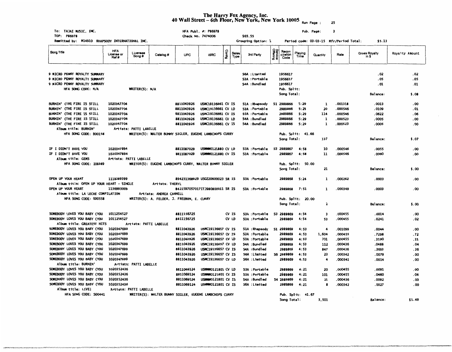## The Harry Fox Agency, Inc.<br>40 Wall Street – 6th Floor, New York, New York 10005 <sub>Run Page</sub> : 25

| To: TAJAI MUSIC, INC.<br>TOP: P86978                 |                                  |                        |                                                        |                                 | HFA Publ. #: P86978<br>Check No. 7474006        |        |                      | \$65.55 |                                 |                            |                            |                   | Pub. Page:   | з                                       |                               |                |
|------------------------------------------------------|----------------------------------|------------------------|--------------------------------------------------------|---------------------------------|-------------------------------------------------|--------|----------------------|---------|---------------------------------|----------------------------|----------------------------|-------------------|--------------|-----------------------------------------|-------------------------------|----------------|
| Remitted by: M14910 RHAPSODY INTERNATIONAL INC.      |                                  |                        |                                                        |                                 |                                                 |        |                      |         | Grouping Option: 1              |                            |                            |                   |              | Period code: 03-03-15 Mfr/Period Total: | \$5.13                        |                |
| Song Title                                           | <b>HFA</b><br>License or<br>Ref# | Licensee<br>Song #     | Catalog #                                              | UPC                             | <b>ISRC</b>                                     | Config | <b>Sales</b><br>Type |         | 3rd Party                       | <b>Service</b><br>Offering | Recon<br>ciliation<br>Code | Playing<br>Time   | Quantity     | Rate                                    | <b>Gross Royalty</b><br>in \$ | Royalty Amount |
|                                                      |                                  |                        |                                                        |                                 |                                                 |        |                      |         |                                 |                            |                            |                   |              |                                         |                               |                |
| 9 MICRO PENNY ROYALTY SUMMARY                        |                                  |                        |                                                        |                                 |                                                 |        |                      |         | S6A : Limited                   |                            | 1956617                    |                   |              |                                         | . 02                          | .02            |
| 9 MICRO PENNY ROYALTY SUMMARY                        |                                  |                        |                                                        |                                 |                                                 |        |                      |         | S3A : Portable                  |                            | 1956617                    |                   |              |                                         | . 05                          | . 05           |
| 9 MICRO PENNY ROYALTY SUMMARY                        |                                  |                        |                                                        |                                 |                                                 |        |                      |         | S4A : Bundled                   |                            | 1956617                    |                   |              |                                         | .01                           | . 01           |
| HFA SONG CODE: N/A                                   |                                  | WRITER(S): N/A         |                                                        |                                 |                                                 |        |                      |         |                                 |                            | Pub. Split:                |                   |              |                                         |                               |                |
|                                                      |                                  |                        |                                                        |                                 |                                                 |        |                      |         |                                 |                            | Song Total:                |                   |              |                                         | Balance:                      | \$.08          |
| BURNIN' (THE FIRE IS STILL                           | 1020347704                       |                        |                                                        | 8811043926                      | USMC19136661 CV IS                              |        |                      |         | S1A : Rhapsody                  |                            | S1 2989866                 | 5:29              | 1            | .001318                                 | .0013                         | . 00           |
| BURNIN' (THE FIRE IS STILL                           | 1020347704                       |                        |                                                        | 8811043926                      | USMC19136661 CV LD                              |        |                      |         | S3A :Portable                   |                            | 2989866                    | 5:29              | 20           | .000546                                 | .0109                         | . 01           |
| BURNIN' (THE FIRE IS STILL                           | 1020347704                       |                        |                                                        | 8811043926                      | USMC19136661 CV IS                              |        |                      |         | S3A :Portable                   |                            | 2989866                    | 5:29              | 114          | .000546                                 | .0622                         | .06            |
| BURNIN' (THE FIRE IS STILL                           | 1020347704                       |                        |                                                        | 8811043926                      | USMC19136661 CV LD                              |        |                      |         | S4A : Bundled                   |                            | 2989866                    | 5:29              | 1            | .000523                                 | .0005                         | .00            |
| BURNIN' (THE FIRE IS STILL                           | 1020347704                       |                        |                                                        | 8811043926                      | USMC19136661 CV IS                              |        |                      |         | S4A : Bundled                   |                            | 2989866                    | 5:29              | $\mathbf{1}$ | .000523                                 | .0005                         | .00            |
| Album title: BURNIN'                                 |                                  | Artists: PATTI LABELLE |                                                        |                                 |                                                 |        |                      |         |                                 |                            |                            |                   |              |                                         |                               |                |
| HFA SONG CODE: BOO158                                |                                  |                        | WRITER(S): WALTER BUNNY SIGLER, EUGENE LAMBCHOPS CURRY |                                 |                                                 |        |                      |         |                                 |                            | Pub. Split: 41.66          |                   |              |                                         |                               |                |
|                                                      |                                  |                        |                                                        |                                 |                                                 |        |                      |         |                                 |                            | Song Total:                |                   | 137          |                                         | Balance:                      | \$.07          |
|                                                      |                                  |                        |                                                        |                                 |                                                 |        |                      |         |                                 |                            |                            |                   |              |                                         |                               |                |
| IF I DIDN'T HAVE YOU                                 | 1020347894                       |                        |                                                        | 8811087029                      | <b>USWWW0121880 CV LD</b>                       |        |                      |         | S3A : Portable                  |                            | S3 2989867                 | 4:58              | 10           | 000546                                  | 0055                          | .00            |
| IF I DIDN'T HAVE YOU                                 | 1020347894                       |                        |                                                        | 8811087029                      | USWWW0121880 CV IS                              |        |                      |         | S3A : Portable                  |                            | 2989867                    | 4:58              | 11           | .000546                                 | .0060                         | .00            |
| Album title: GEMS                                    | Artists: PATTI LABELLE           |                        |                                                        |                                 |                                                 |        |                      |         |                                 |                            |                            |                   |              |                                         |                               |                |
| HFA SONG CODE: 108389                                |                                  |                        | WRITER(S): EUGENE LAMBCHOPS CURRY, WALTER BUNNY SIGLER |                                 |                                                 |        |                      |         |                                 |                            | Pub. Split: 50.00          |                   |              |                                         |                               |                |
|                                                      |                                  |                        |                                                        |                                 |                                                 |        |                      |         |                                 |                            | Song Total:                |                   | 21           |                                         | Balance:                      | \$.00          |
| OPEN UP YOUR HEART                                   | 1118289399                       |                        |                                                        | 894231368929 USGZ20600023 SR IS |                                                 |        |                      |         | S3A : Portable                  |                            | 2989868                    | 5:24              | 1            | 000262                                  | .0003                         | .00            |
| Album title: OPEN UP YOUR HEART - SINGLE             |                                  |                        | Artists: THERYL                                        |                                 |                                                 |        |                      |         |                                 |                            |                            |                   |              |                                         |                               |                |
| OPEN UP YOUR HEART                                   | 1136993009                       |                        |                                                        | 8421597057017ITJ980800011 SR IS |                                                 |        |                      |         | S3A :Portable                   |                            | 2989868                    | 7:51              | 1            | 000349                                  | . 0003                        | . 00           |
| Album title: LA LECHE COMPILATION                    |                                  |                        | Artists: ANDREA CARNELL                                |                                 |                                                 |        |                      |         |                                 |                            |                            |                   |              |                                         |                               |                |
| HFA SONG CODE: 000558                                |                                  |                        | WRITER(S): A. FELDER, J. FREEMAN, E. CURRY             |                                 |                                                 |        |                      |         |                                 |                            | Pub. Sp?it: 20.00          |                   |              |                                         |                               |                |
|                                                      |                                  |                        |                                                        |                                 |                                                 |        |                      |         |                                 |                            | Song Total:                |                   | 2            |                                         | <b>Balance:</b>               | \$.00          |
|                                                      |                                  |                        |                                                        |                                 |                                                 |        |                      |         |                                 |                            |                            |                   |              |                                         |                               |                |
| SOMEBODY LOVES YOU BABY (YOU                         | 1011254527                       |                        |                                                        | 8811156725                      |                                                 |        | CV <sub>IS</sub>     |         | S3A : Portable                  |                            | S3 2989869                 | 4:54              | 3            | 000455                                  | .0014                         | .00            |
| SOMEBODY LOVES YOU BABY (YOU                         | 1011254527                       |                        |                                                        | 8811156725                      |                                                 |        | CV LD                |         | S3A :Portable                   |                            | 2989869                    | 4:54              | 53           | .000455                                 | .0241                         | . 02           |
| Album title: GREATEST HITS                           |                                  |                        | Artists: PATTI LABELLE                                 |                                 |                                                 |        |                      |         |                                 |                            |                            |                   |              |                                         |                               |                |
| SOMEBODY LOVES YOU BABY (YOU                         | 1020347699                       |                        |                                                        | 8811043926                      | USMC19136657 CV IS                              |        |                      |         | S1A : Rhapsody                  |                            | S1 2989869                 | 4:53              | 4            | .001099                                 | .0044                         | . 00           |
| SOMEBODY LOVES YOU BABY (YOU                         | 1020347699                       |                        |                                                        | 8811043926                      | <b>USMC19136657 CV IS</b>                       |        |                      |         | S3A : Portable                  |                            | 2989869                    | 4:53              | 1.604        | .000455                                 | .7298                         | .72            |
| SOMEBODY LOVES YOU BABY (YOU                         | 1020347699                       |                        |                                                        | 8811043926                      | USMC19136657 CV LD                              |        |                      |         | S3A : Portable                  |                            | 2989869                    | 4:53              | 701          | .000455                                 | .3190                         | . 31           |
| SOMEBODY LOVES YOU BABY (YOU                         | 1020347699                       |                        |                                                        | 8811043926                      | USMC19136657 CV LD                              |        |                      |         | S4A : Bundled                   |                            | 2989869                    | 4:53              | 112          | .000436                                 | .0488                         | . 04           |
| SOMEBODY LOVES YOU BABY (YOU                         | 1020347699                       |                        |                                                        | 8811043926                      | USMC19136657 CV IS                              |        |                      |         | S4A : Bundled                   |                            | 2989869                    | 4:53              | 847          | .000436                                 | .3693                         | . 36           |
| SOMEBODY LOVES YOU BABY (YOU                         | 1020347699                       |                        |                                                        | 8811043926                      | USMC19136657 CV IS                              |        |                      |         | S6A : Limited                   |                            | 56 2989869                 | 4:53              | 23           | .000342                                 | .0079                         | .00            |
| SOMEBODY LOVES YOU BABY (YOU                         | 1020347699                       |                        |                                                        | 8811043926                      | USMC19136657 CV LD                              |        |                      |         | S6A : Limited                   |                            | 2989869                    | 4:53              | 4            | .000342                                 | .0014                         | .00            |
| Album title: BURNIN'<br>SOMEBODY LOVES YOU BABY (YOU | 1020352436                       | Artists: PATTI LABELLE |                                                        |                                 |                                                 |        |                      |         |                                 |                            |                            |                   |              |                                         |                               |                |
| SOMEBODY LOVES YOU BABY (YOU                         | 1020352436                       |                        |                                                        | 8811069124<br>8811069124        | USWWW0121801 CV LD                              |        |                      |         | S3A : Portable                  |                            | 2989869                    | 4:21              | 20           | .000455                                 | .0091                         | .00            |
| SOMEBODY LOVES YOU BABY (YOU                         | 1020352436                       |                        |                                                        | 8811069124                      | USWWW0121801 CV IS<br><b>USWWW0121801 CV IS</b> |        |                      |         | S3A : Portable<br>S4A : Bundled |                            | 2989869<br>S4 2989869      | 4:21<br>4:21      | 101<br>21    | .000455<br>.000436                      | .0460<br>.0092                | . 04           |
| SOMEBODY LOVES YOU BABY (YOU                         | 1020352436                       |                        |                                                        | 8811069124                      | <b>USWWW0121801 CV IS</b>                       |        |                      |         | S6A : Limited                   |                            | 2989869                    | 4:21              | 8            | .000342                                 | .0027                         | . 00<br>.00    |
| Album title: LIVE!                                   |                                  | Artists: PATTI LABELLE |                                                        |                                 |                                                 |        |                      |         |                                 |                            |                            |                   |              |                                         |                               |                |
| HFA SONG CODE: S00441                                |                                  |                        | WRITER(S): WALTER BUNNY SIGLER, EUGENE LAMBCHOPS CURRY |                                 |                                                 |        |                      |         |                                 |                            |                            | Pub. Split: 41.67 |              |                                         |                               |                |
|                                                      |                                  |                        |                                                        |                                 |                                                 |        |                      |         |                                 |                            | Song Total:                |                   | 3,501        |                                         | Balance:                      | \$1.49         |
|                                                      |                                  |                        |                                                        |                                 |                                                 |        |                      |         |                                 |                            |                            |                   |              |                                         |                               |                |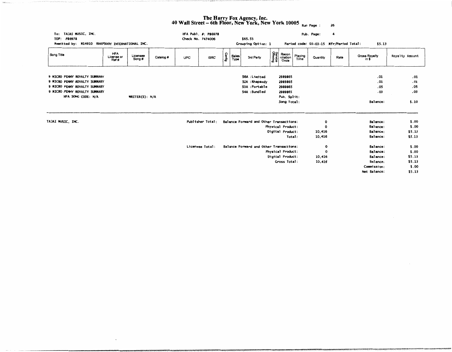## **The Harry Fox Agency, Inc.**<br>40 Wall Street – 6th Floor, New York, New York 10005  $_{\text{Run Page :}}$  26

| To: TAJAI MUSIC, INC.<br>TOP:<br>P86978<br>Remitted by: M14910 RHAPSODY INTERNATIONAL INC. |                                  |                   |           | Check No. 7474006                                          | HFA Publ. #: P86978 |        |               | \$65.55<br>Grouping Option: 1           |                     |                            |                 | Pub. Page:<br>Period code: 03-03-15 Mfr/Period Total: | 4    | \$5.13                 |                |
|--------------------------------------------------------------------------------------------|----------------------------------|-------------------|-----------|------------------------------------------------------------|---------------------|--------|---------------|-----------------------------------------|---------------------|----------------------------|-----------------|-------------------------------------------------------|------|------------------------|----------------|
| Song Title                                                                                 | <b>HFA</b><br>License or<br>Ref# | Licensee<br>Song# | Catalog # | <b>UPC</b>                                                 | <b>ISRC</b>         | Config | Sales<br>Type | 3rd Party                               | Service<br>Offering | Recon<br>ciliation<br>Code | Playing<br>Time | Quantity                                              | Rate | Gross Royalty<br>in \$ | Royalty Amount |
| 9 MICRO PENNY ROYALTY SUMMARY                                                              |                                  |                   |           |                                                            |                     |        |               | S6A : Limited                           |                     | 2989865                    |                 |                                                       |      | .01                    | .01            |
| 9 NICRO PENNY ROYALTY SUMMARY                                                              |                                  |                   |           |                                                            |                     |        |               | S1A : Rhapsody                          |                     | 2989865                    |                 |                                                       |      | .01                    | .01            |
| 9 MICRO PENNY ROYALTY SUMMARY                                                              |                                  |                   |           |                                                            |                     |        |               | S3A :Portable                           |                     | 2989865                    |                 |                                                       |      | .05                    | . 05           |
| 9 MICRO PENNY ROYALTY SUMMARY                                                              |                                  |                   |           |                                                            |                     |        |               | S4A :Bundled                            |                     | 2989865                    |                 |                                                       |      | . 03                   | . 03           |
| HFA SONG CODE: N/A                                                                         |                                  | WRITER(S): N/A    |           |                                                            |                     |        |               |                                         |                     | Pub. Split:                |                 |                                                       |      |                        |                |
|                                                                                            |                                  |                   |           |                                                            |                     |        |               |                                         |                     | Song Total:                |                 |                                                       |      | Balance:               | \$.10          |
| TAJAI MUSIC, INC.                                                                          |                                  |                   |           |                                                            | Publisher Total:    |        |               | Balance Forward and Other Transactions: |                     |                            |                 | о                                                     |      | Balance:               | \$.00          |
|                                                                                            |                                  |                   |           |                                                            |                     |        |               |                                         |                     | Physical Product:          |                 | ٥                                                     |      | Balance:               | \$.00          |
|                                                                                            |                                  |                   |           |                                                            |                     |        |               |                                         |                     | Digital Product:           |                 | 10,416                                                |      | Balance:               | \$5.13         |
|                                                                                            |                                  |                   |           |                                                            |                     |        |               |                                         |                     | Total:                     |                 | 10,416                                                |      | Balance:               | \$5.13         |
|                                                                                            |                                  |                   |           | Balance Forward and Other Transactions:<br>Licensee Total: |                     |        |               |                                         |                     |                            |                 | o                                                     |      | Balance:               | \$.00          |
|                                                                                            |                                  |                   |           |                                                            |                     |        |               |                                         |                     | Physical Product:          |                 | $\Omega$                                              |      | Balance:               | \$.00          |
|                                                                                            |                                  |                   |           |                                                            |                     |        |               |                                         |                     | Digital Product:           |                 | 10,416                                                |      | Balance:               | \$5.13         |
|                                                                                            |                                  |                   |           |                                                            |                     |        |               |                                         |                     | Gross Total:               |                 | 10,416                                                |      | Balance:               | \$5.13         |
|                                                                                            |                                  |                   |           |                                                            |                     |        |               |                                         |                     |                            |                 |                                                       |      | Commission:            | \$.00          |
|                                                                                            |                                  |                   |           |                                                            |                     |        |               |                                         |                     |                            |                 |                                                       |      | Net Balance:           | \$5.13         |

 $\sim$